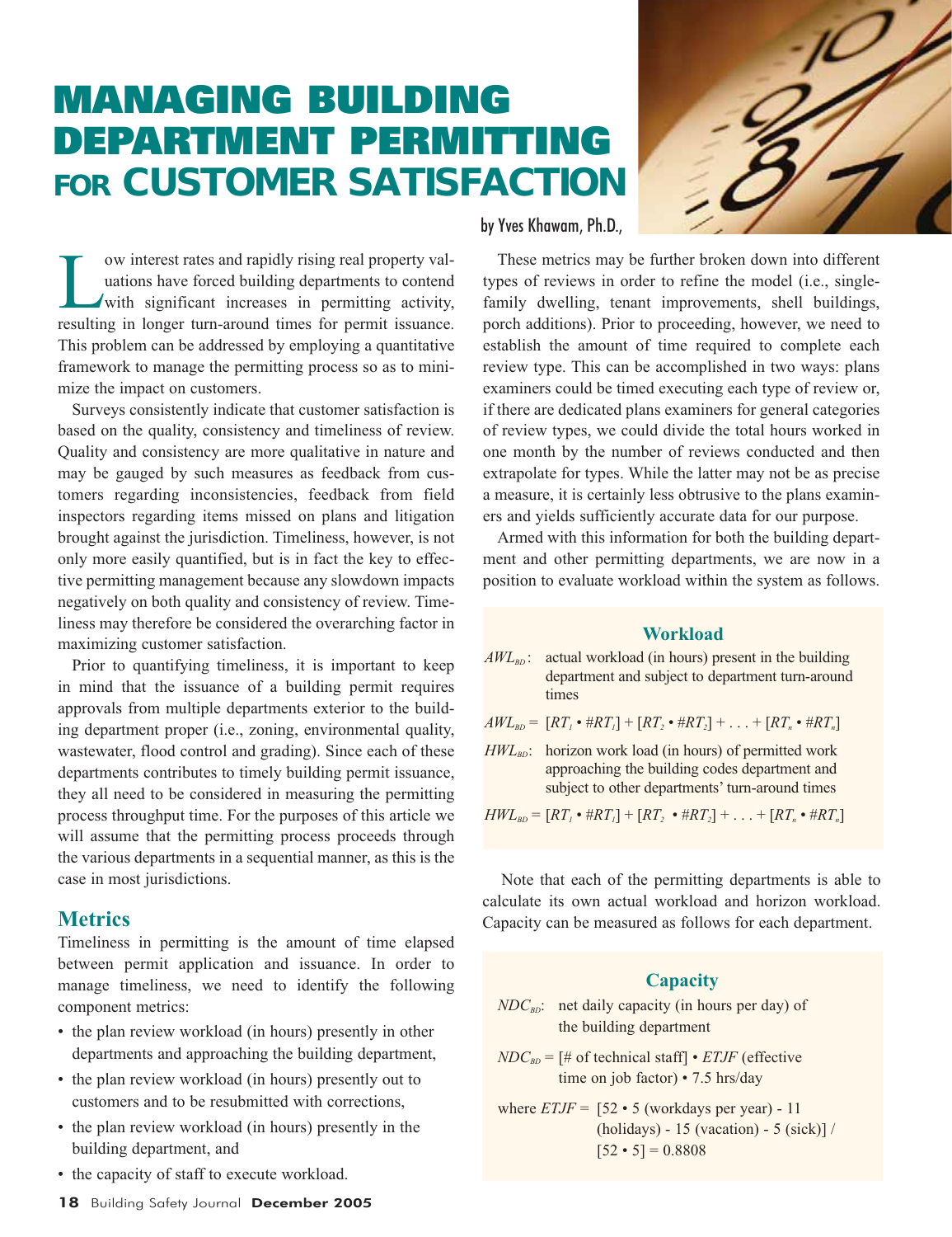# **MANAGING BUILDING DEPARTMENT PERMITTING FOR CUSTOMER SATISFACTION**



ow interest rates and rapidly rising real property valuations have forced building departments to contend<br>with significant increases in permitting activity,<br>resulting in longer turn-around times for permit issuance uations have forced building departments to contend with significant increases in permitting activity, resulting in longer turn-around times for permit issuance. This problem can be addressed by employing a quantitative framework to manage the permitting process so as to minimize the impact on customers.

Surveys consistently indicate that customer satisfaction is based on the quality, consistency and timeliness of review. Quality and consistency are more qualitative in nature and may be gauged by such measures as feedback from customers regarding inconsistencies, feedback from field inspectors regarding items missed on plans and litigation brought against the jurisdiction. Timeliness, however, is not only more easily quantified, but is in fact the key to effective permitting management because any slowdown impacts negatively on both quality and consistency of review. Timeliness may therefore be considered the overarching factor in maximizing customer satisfaction.

Prior to quantifying timeliness, it is important to keep in mind that the issuance of a building permit requires approvals from multiple departments exterior to the building department proper (i.e., zoning, environmental quality, wastewater, flood control and grading). Since each of these departments contributes to timely building permit issuance, they all need to be considered in measuring the permitting process throughput time. For the purposes of this article we will assume that the permitting process proceeds through the various departments in a sequential manner, as this is the case in most jurisdictions.

# **Metrics**

Timeliness in permitting is the amount of time elapsed between permit application and issuance. In order to manage timeliness, we need to identify the following component metrics:

- the plan review workload (in hours) presently in other departments and approaching the building department,
- the plan review workload (in hours) presently out to customers and to be resubmitted with corrections,
- the plan review workload (in hours) presently in the building department, and
- the capacity of staff to execute workload.

#### by Yves Khawam, Ph.D.,

These metrics may be further broken down into different types of reviews in order to refine the model (i.e., singlefamily dwelling, tenant improvements, shell buildings, porch additions). Prior to proceeding, however, we need to establish the amount of time required to complete each review type. This can be accomplished in two ways: plans examiners could be timed executing each type of review or, if there are dedicated plans examiners for general categories of review types, we could divide the total hours worked in one month by the number of reviews conducted and then extrapolate for types. While the latter may not be as precise a measure, it is certainly less obtrusive to the plans examiners and yields sufficiently accurate data for our purpose.

Armed with this information for both the building department and other permitting departments, we are now in a position to evaluate workload within the system as follows.

#### **Workload**

- *AWL<sub>BD</sub>*: actual workload (in hours) present in the building department and subject to department turn-around times
- $AWL_{BD} = [RT_I \cdot \#RT_I] + [RT_2 \cdot \#RT_2] + ... + [RT_n \cdot \#RT_n]$
- $HWL_{BD}$ : horizon work load (in hours) of permitted work approaching the building codes department and subject to other departments' turn-around times

 $HWL_{BD} = [RT_i \cdot \#RT_i] + [RT_2 \cdot \#RT_2] + \ldots + [RT_n \cdot \#RT_n]$ 

Note that each of the permitting departments is able to calculate its own actual workload and horizon workload. Capacity can be measured as follows for each department.

#### **Capacity**

$$
NDC_{BD}
$$
: net daily capacity (in hours per day) of the building department

 $NDC_{BD}$  = [# of technical staff] • *ETJF* (effective time on job factor) • 7.5 hrs/day

where  $ETJF = [52 \cdot 5 \text{ (workdays per year)} - 11$ (holidays) - 15 (vacation) - 5 (sick)] /  $[52 \cdot 5] = 0.8808$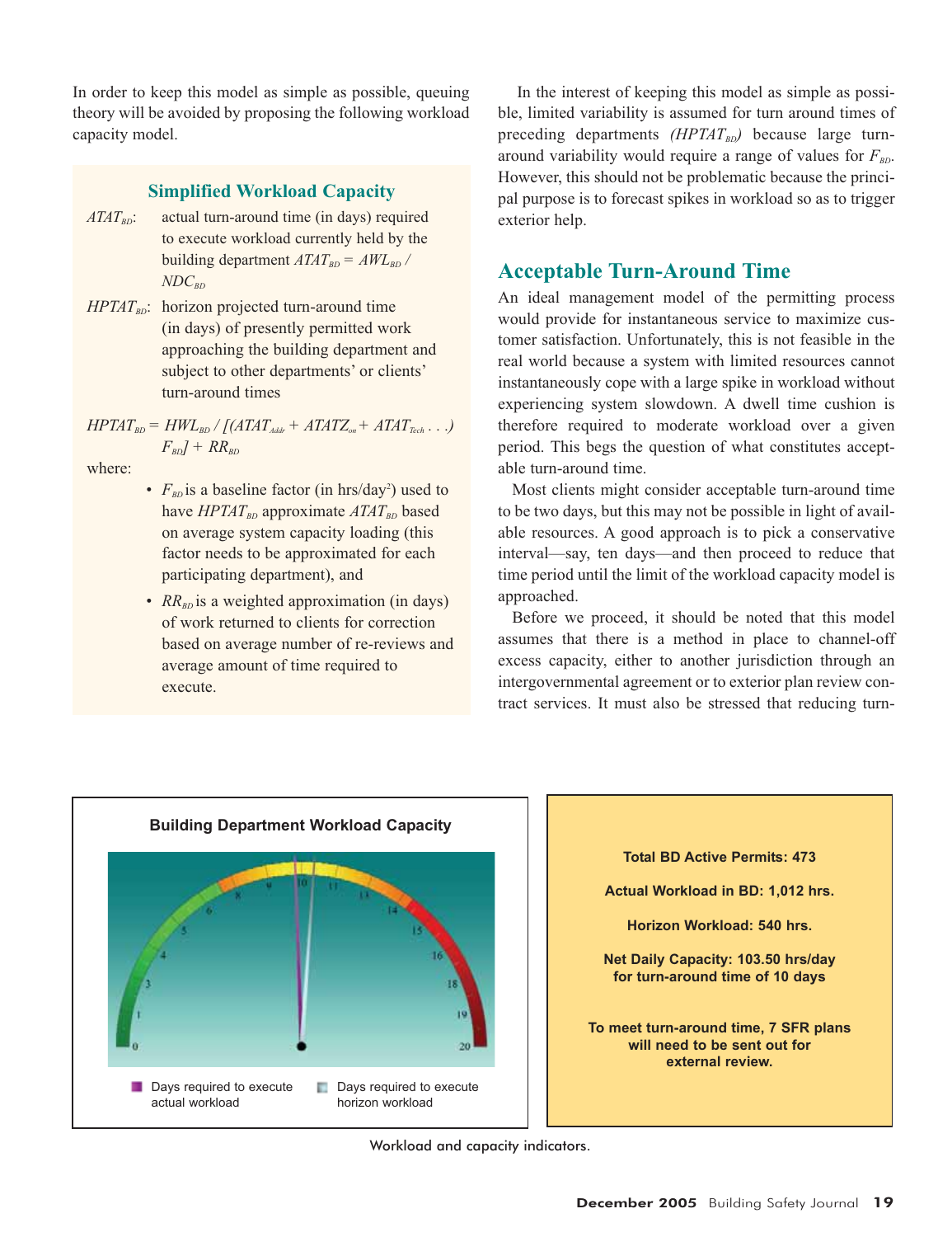In order to keep this model as simple as possible, queuing theory will be avoided by proposing the following workload capacity model.

### **Simplified Workload Capacity**

- $ATAT<sub>BD</sub>$ : actual turn-around time (in days) required to execute workload currently held by the building department  $ATAT_{BD} = AWL_{BD}$  /  $NDC_{BD}$
- $HPTAT_{BD}$ : horizon projected turn-around time (in days) of presently permitted work approaching the building department and subject to other departments' or clients' turn-around times

 $HPTAT_{BD} = HWL_{BD} / [(ATAT_{Adir} + ATATZ_{on} + ATAT_{Tech} \dots)]$  $F_{BD}$ *J* + *RR<sub>BD</sub>* 

where:

- $F_{BD}$  is a baseline factor (in hrs/day<sup>2</sup>) used to have *HPTAT*<sub>BD</sub> approximate *ATAT*<sub>BD</sub> based on average system capacity loading (this factor needs to be approximated for each participating department), and
- *RR<sub>BD</sub>* is a weighted approximation (in days) of work returned to clients for correction based on average number of re-reviews and average amount of time required to execute.

In the interest of keeping this model as simple as possible, limited variability is assumed for turn around times of preceding departments  $(HPTAT_{BD})$  because large turnaround variability would require a range of values for  $F_{BD}$ . However, this should not be problematic because the principal purpose is to forecast spikes in workload so as to trigger exterior help.

# **Acceptable Turn-Around Time**

An ideal management model of the permitting process would provide for instantaneous service to maximize customer satisfaction. Unfortunately, this is not feasible in the real world because a system with limited resources cannot instantaneously cope with a large spike in workload without experiencing system slowdown. A dwell time cushion is therefore required to moderate workload over a given period. This begs the question of what constitutes acceptable turn-around time.

Most clients might consider acceptable turn-around time to be two days, but this may not be possible in light of available resources. A good approach is to pick a conservative interval—say, ten days—and then proceed to reduce that time period until the limit of the workload capacity model is approached.

Before we proceed, it should be noted that this model assumes that there is a method in place to channel-off excess capacity, either to another jurisdiction through an intergovernmental agreement or to exterior plan review contract services. It must also be stressed that reducing turn-





Workload and capacity indicators.